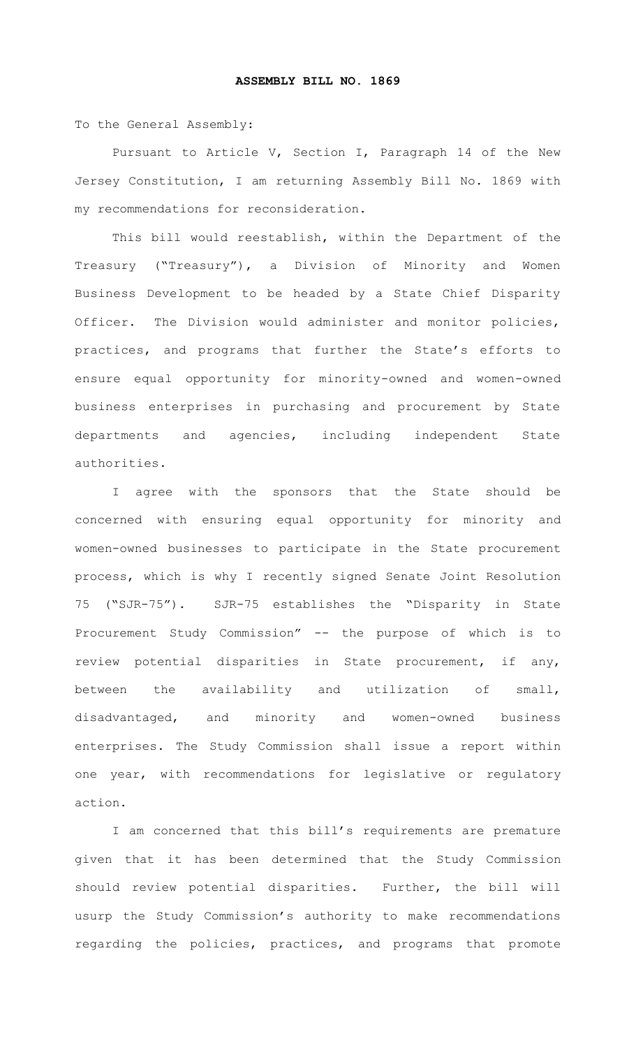To the General Assembly:

Pursuant to Article V, Section I, Paragraph 14 of the New Jersey Constitution, I am returning Assembly Bill No. 1869 with my recommendations for reconsideration.

This bill would reestablish, within the Department of the Treasury ("Treasury"), a Division of Minority and Women Business Development to be headed by a State Chief Disparity Officer. The Division would administer and monitor policies, practices, and programs that further the State's efforts to ensure equal opportunity for minority-owned and women-owned business enterprises in purchasing and procurement by State departments and agencies, including independent State authorities.

I agree with the sponsors that the State should be concerned with ensuring equal opportunity for minority and women-owned businesses to participate in the State procurement process, which is why I recently signed Senate Joint Resolution 75 ("SJR-75"). SJR-75 establishes the "Disparity in State Procurement Study Commission" -- the purpose of which is to review potential disparities in State procurement, if any, between the availability and utilization of small, disadvantaged, and minority and women-owned business enterprises. The Study Commission shall issue a report within one year, with recommendations for legislative or regulatory action.

I am concerned that this bill's requirements are premature given that it has been determined that the Study Commission should review potential disparities. Further, the bill will usurp the Study Commission's authority to make recommendations regarding the policies, practices, and programs that promote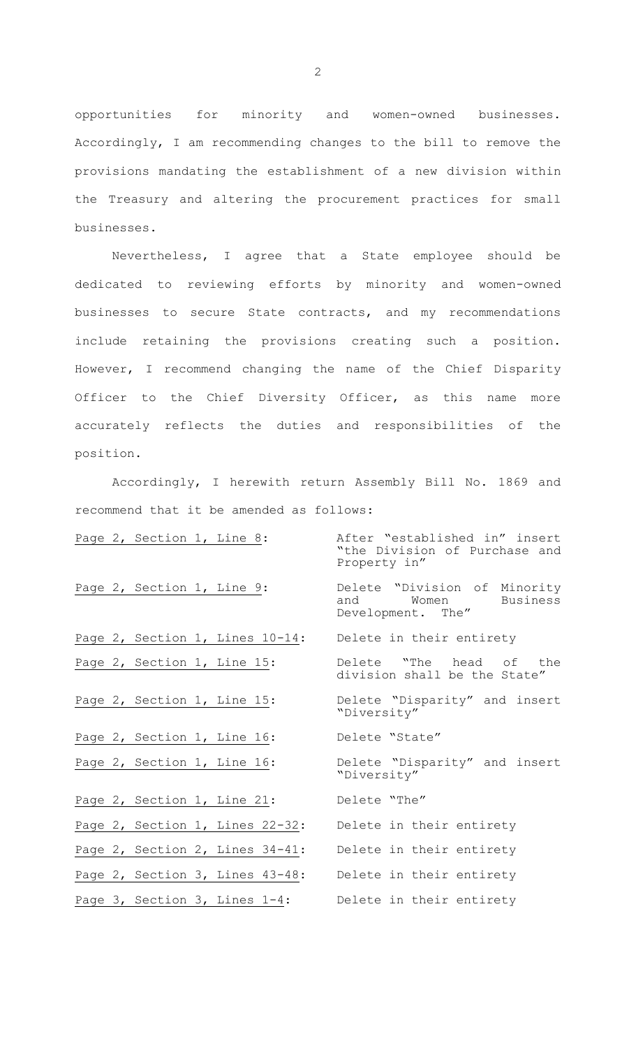opportunities for minority and women-owned businesses. Accordingly, I am recommending changes to the bill to remove the provisions mandating the establishment of a new division within the Treasury and altering the procurement practices for small businesses.

Nevertheless, I agree that a State employee should be dedicated to reviewing efforts by minority and women-owned businesses to secure State contracts, and my recommendations include retaining the provisions creating such a position. However, I recommend changing the name of the Chief Disparity Officer to the Chief Diversity Officer, as this name more accurately reflects the duties and responsibilities of the position.

Accordingly, I herewith return Assembly Bill No. 1869 and recommend that it be amended as follows:

|  | Page 2, Section 1, Line 8: |                                 | After "established in" insert<br>"the Division of Purchase and<br>Property in" |
|--|----------------------------|---------------------------------|--------------------------------------------------------------------------------|
|  | Page 2, Section 1, Line 9: |                                 | Delete "Division of Minority<br>and Women Business<br>Development. The"        |
|  |                            |                                 | Page 2, Section 1, Lines 10-14: Delete in their entirety                       |
|  |                            | Page 2, Section 1, Line 15:     | Delete "The head of the<br>division shall be the State"                        |
|  |                            | Page 2, Section 1, Line 15:     | Delete "Disparity" and insert<br>"Diversity"                                   |
|  |                            | Page 2, Section 1, Line 16:     | Delete "State"                                                                 |
|  |                            | Page 2, Section 1, Line 16:     | Delete "Disparity" and insert<br>"Diversity"                                   |
|  |                            | Page 2, Section 1, Line 21:     | Delete "The"                                                                   |
|  |                            | Page 2, Section 1, Lines 22-32: | Delete in their entirety                                                       |
|  |                            | Page 2, Section 2, Lines 34-41: | Delete in their entirety                                                       |
|  |                            | Page 2, Section 3, Lines 43-48: | Delete in their entirety                                                       |
|  |                            |                                 | Page 3, Section 3, Lines 1-4: Delete in their entirety                         |

2